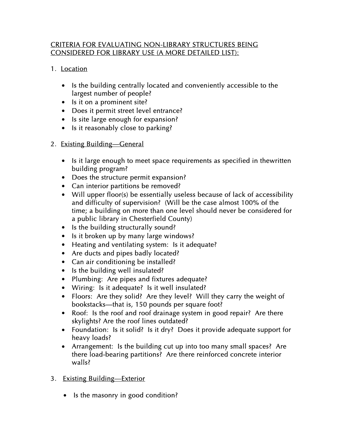## CRITERIA FOR EVALUATING NON-LIBRARY STRUCTURES BEING CONSIDERED FOR LIBRARY USE (A MORE DETAILED LIST):

- 1. Location
	- Is the building centrally located and conveniently accessible to the largest number of people?
	- Is it on a prominent site?
	- Does it permit street level entrance?
	- Is site large enough for expansion?
	- Is it reasonably close to parking?
- 2. Existing Building—General
	- Is it large enough to meet space requirements as specified in thewritten building program?
	- Does the structure permit expansion?
	- Can interior partitions be removed?
	- Will upper floor(s) be essentially useless because of lack of accessibility and difficulty of supervision? (Will be the case almost 100% of the time; a building on more than one level should never be considered for a public library in Chesterfield County)
	- Is the building structurally sound?
	- Is it broken up by many large windows?
	- Heating and ventilating system: Is it adequate?
	- Are ducts and pipes badly located?
	- Can air conditioning be installed?
	- Is the building well insulated?
	- Plumbing: Are pipes and fixtures adequate?
	- Wiring: Is it adequate? Is it well insulated?
	- Floors: Are they solid? Are they level? Will they carry the weight of bookstacks—that is, 150 pounds per square foot?
	- Roof: Is the roof and roof drainage system in good repair? Are there skylights? Are the roof lines outdated?
	- Foundation: Is it solid? Is it dry? Does it provide adequate support for heavy loads?
	- Arrangement: Is the building cut up into too many small spaces? Are there load-bearing partitions? Are there reinforced concrete interior walls?
- 3. Existing Building—Exterior
	- Is the masonry in good condition?